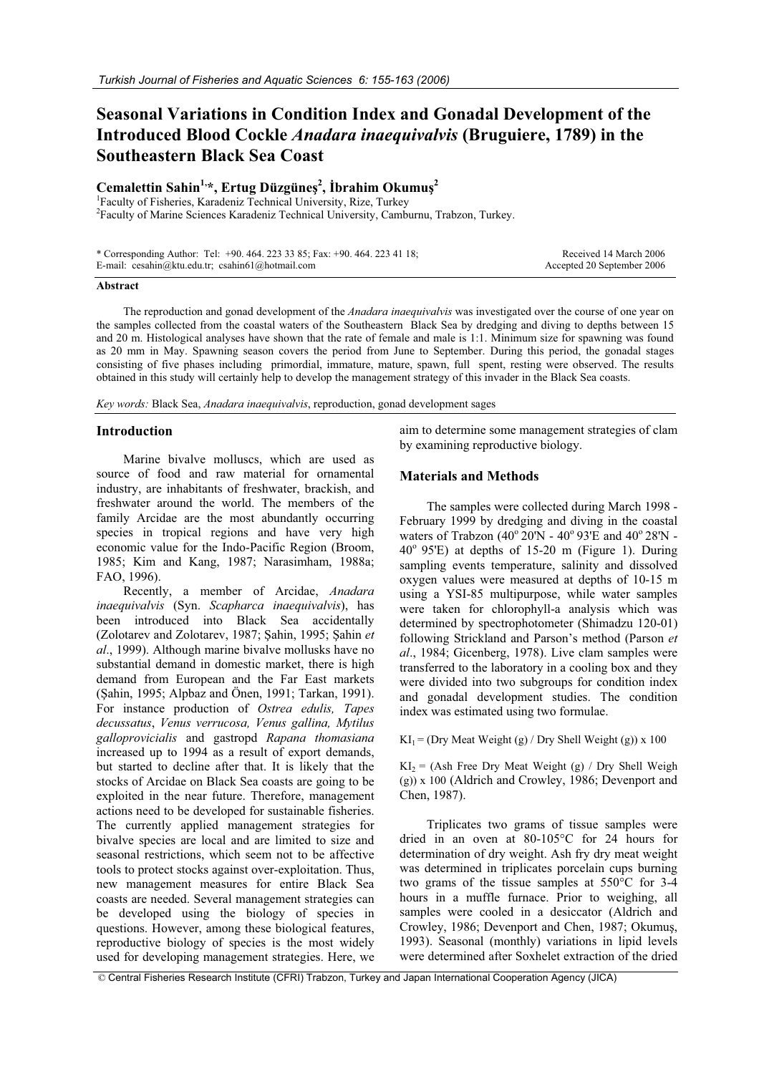# **Seasonal Variations in Condition Index and Gonadal Development of the Introduced Blood Cockle** *Anadara inaequivalvis* **(Bruguiere, 1789) in the Southeastern Black Sea Coast**

# **Cemalettin Sahin1,\*, Ertug Düzgüneú 2 , øbrahim Okumuú 2**

1 Faculty of Fisheries, Karadeniz Technical University, Rize, Turkey <sup>2</sup>Faculty of Marine Sciences Karadeniz Technical University, Camburnu, Trabzon, Turkey.

| * Corresponding Author: Tel: $+90.464.2233385$ ; Fax: $+90.464.2234118$ ; | Received 14 March 2006     |
|---------------------------------------------------------------------------|----------------------------|
| E-mail: cesahin@ktu.edu.tr; csahin61@hotmail.com                          | Accepted 20 September 2006 |

#### **Abstract**

The reproduction and gonad development of the *Anadara inaequivalvis* was investigated over the course of one year on the samples collected from the coastal waters of the Southeastern Black Sea by dredging and diving to depths between 15 and 20 m. Histological analyses have shown that the rate of female and male is 1:1. Minimum size for spawning was found as 20 mm in May. Spawning season covers the period from June to September. During this period, the gonadal stages consisting of five phases including primordial, immature, mature, spawn, full spent, resting were observed. The results obtained in this study will certainly help to develop the management strategy of this invader in the Black Sea coasts.

*Key words:* Black Sea, *Anadara inaequivalvis*, reproduction, gonad development sages

# **Introduction**

Marine bivalve molluscs, which are used as source of food and raw material for ornamental industry, are inhabitants of freshwater, brackish, and freshwater around the world. The members of the family Arcidae are the most abundantly occurring species in tropical regions and have very high economic value for the Indo-Pacific Region (Broom, 1985; Kim and Kang, 1987; Narasimham, 1988a; FAO, 1996).

Recently, a member of Arcidae, *Anadara inaequivalvis* (Syn. *Scapharca inaequivalvis*), has been introduced into Black Sea accidentally (Zolotarev and Zolotarev, 1987; Şahin, 1995; Şahin et *al*., 1999). Although marine bivalve mollusks have no substantial demand in domestic market, there is high demand from European and the Far East markets (Sahin, 1995; Alpbaz and Önen, 1991; Tarkan, 1991). For instance production of *Ostrea edulis, Tapes decussatus*, *Venus verrucosa, Venus gallina, Mytilus galloprovicialis* and gastropd *Rapana thomasiana* increased up to 1994 as a result of export demands, but started to decline after that. It is likely that the stocks of Arcidae on Black Sea coasts are going to be exploited in the near future. Therefore, management actions need to be developed for sustainable fisheries. The currently applied management strategies for bivalve species are local and are limited to size and seasonal restrictions, which seem not to be affective tools to protect stocks against over-exploitation. Thus, new management measures for entire Black Sea coasts are needed. Several management strategies can be developed using the biology of species in questions. However, among these biological features, reproductive biology of species is the most widely used for developing management strategies. Here, we

aim to determine some management strategies of clam by examining reproductive biology.

## **Materials and Methods**

The samples were collected during March 1998 - February 1999 by dredging and diving in the coastal waters of Trabzon (40 $^{\circ}$  20'N - 40 $^{\circ}$  93'E and 40 $^{\circ}$  28'N - $40^{\circ}$  95'E) at depths of 15-20 m (Figure 1). During sampling events temperature, salinity and dissolved oxygen values were measured at depths of 10-15 m using a YSI-85 multipurpose, while water samples were taken for chlorophyll-a analysis which was determined by spectrophotometer (Shimadzu 120-01) following Strickland and Parson's method (Parson *et al*., 1984; Gicenberg, 1978). Live clam samples were transferred to the laboratory in a cooling box and they were divided into two subgroups for condition index and gonadal development studies. The condition index was estimated using two formulae.

#### $KI_1 = (Dry Meat Weight(g) / Dry Shell Weight(g)) x 100$

 $KI_2 = (Ash Free Dry Meat Weight (g) / Dry Shell Weight)$ (g)) x 100 (Aldrich and Crowley, 1986; Devenport and Chen, 1987).

Triplicates two grams of tissue samples were dried in an oven at 80-105°C for 24 hours for determination of dry weight. Ash fry dry meat weight was determined in triplicates porcelain cups burning two grams of the tissue samples at 550°C for 3-4 hours in a muffle furnace. Prior to weighing, all samples were cooled in a desiccator (Aldrich and Crowley, 1986; Devenport and Chen, 1987; Okumuş, 1993). Seasonal (monthly) variations in lipid levels were determined after Soxhelet extraction of the dried

© Central Fisheries Research Institute (CFRI) Trabzon, Turkey and Japan International Cooperation Agency (JICA)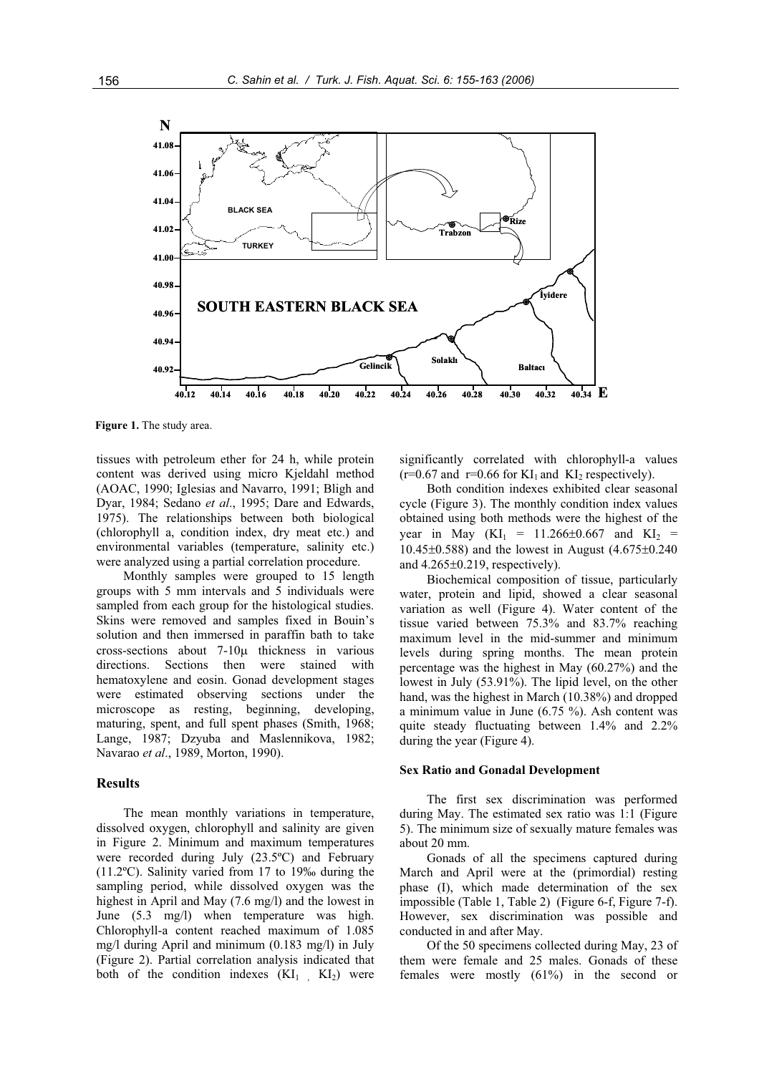

**Figure 1.** The study area.

tissues with petroleum ether for 24 h, while protein content was derived using micro Kjeldahl method (AOAC, 1990; Iglesias and Navarro, 1991; Bligh and Dyar, 1984; Sedano *et al*., 1995; Dare and Edwards, 1975). The relationships between both biological (chlorophyll a, condition index, dry meat etc.) and environmental variables (temperature, salinity etc.) were analyzed using a partial correlation procedure.

Monthly samples were grouped to 15 length groups with 5 mm intervals and 5 individuals were sampled from each group for the histological studies. Skins were removed and samples fixed in Bouin's solution and then immersed in paraffin bath to take cross-sections about  $7-10\mu$  thickness in various directions. Sections then were stained with hematoxylene and eosin. Gonad development stages were estimated observing sections under the microscope as resting, beginning, developing, maturing, spent, and full spent phases (Smith, 1968; Lange, 1987; Dzyuba and Maslennikova, 1982; Navarao *et al*., 1989, Morton, 1990).

# **Results**

The mean monthly variations in temperature, dissolved oxygen, chlorophyll and salinity are given in Figure 2. Minimum and maximum temperatures were recorded during July (23.5ºC) and February (11.2ºC). Salinity varied from 17 to 19‰ during the sampling period, while dissolved oxygen was the highest in April and May (7.6 mg/l) and the lowest in June (5.3 mg/l) when temperature was high. Chlorophyll-a content reached maximum of 1.085 mg/l during April and minimum (0.183 mg/l) in July (Figure 2). Partial correlation analysis indicated that both of the condition indexes  $(KI_1, KI_2)$  were

significantly correlated with chlorophyll-a values  $(r=0.67$  and  $r=0.66$  for  $KI_1$  and  $KI_2$  respectively).

Both condition indexes exhibited clear seasonal cycle (Figure 3). The monthly condition index values obtained using both methods were the highest of the year in May  $(KI_1 = 11.266 \pm 0.667$  and  $KI_2 =$ 10.45 $\pm$ 0.588) and the lowest in August (4.675 $\pm$ 0.240 and  $4.265\pm0.219$ , respectively).

Biochemical composition of tissue, particularly water, protein and lipid, showed a clear seasonal variation as well (Figure 4). Water content of the tissue varied between 75.3% and 83.7% reaching maximum level in the mid-summer and minimum levels during spring months. The mean protein percentage was the highest in May (60.27%) and the lowest in July (53.91%). The lipid level, on the other hand, was the highest in March (10.38%) and dropped a minimum value in June (6.75 %). Ash content was quite steady fluctuating between 1.4% and 2.2% during the year (Figure 4).

#### **Sex Ratio and Gonadal Development**

The first sex discrimination was performed during May. The estimated sex ratio was 1:1 (Figure 5). The minimum size of sexually mature females was about 20 mm.

Gonads of all the specimens captured during March and April were at the (primordial) resting phase (I), which made determination of the sex impossible (Table 1, Table 2) (Figure 6-f, Figure 7-f). However, sex discrimination was possible and conducted in and after May.

Of the 50 specimens collected during May, 23 of them were female and 25 males. Gonads of these females were mostly (61%) in the second or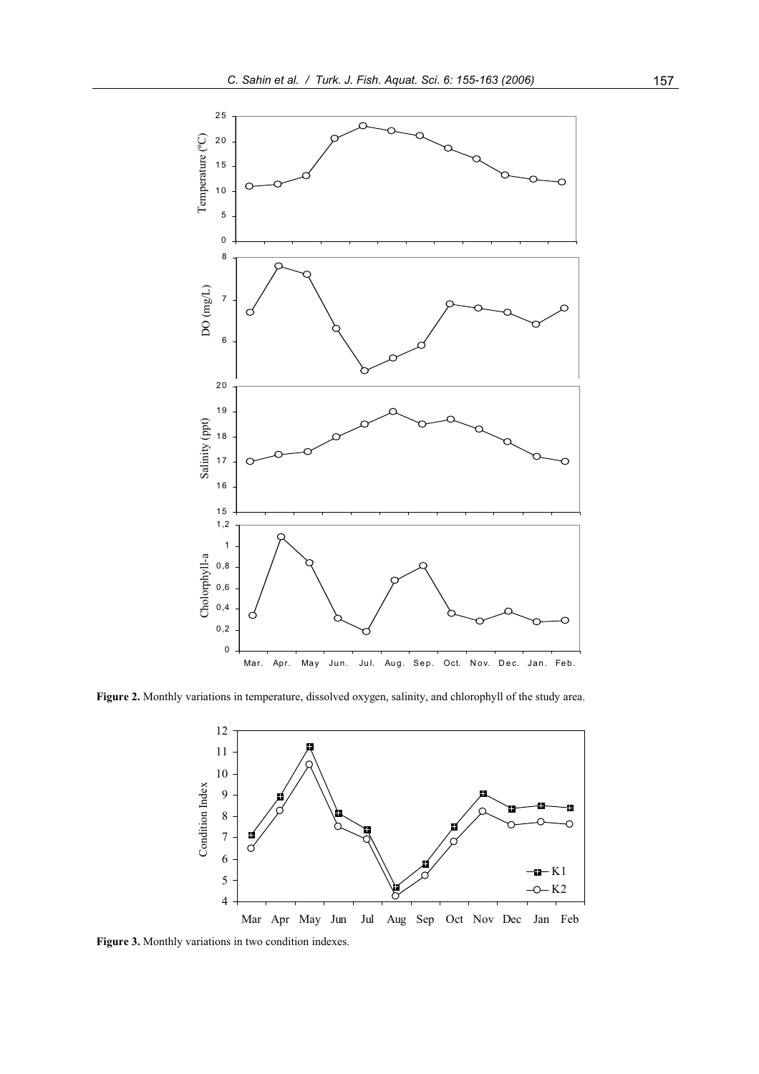

**Figure 2.** Monthly variations in temperature, dissolved oxygen, salinity, and chlorophyll of the study area.

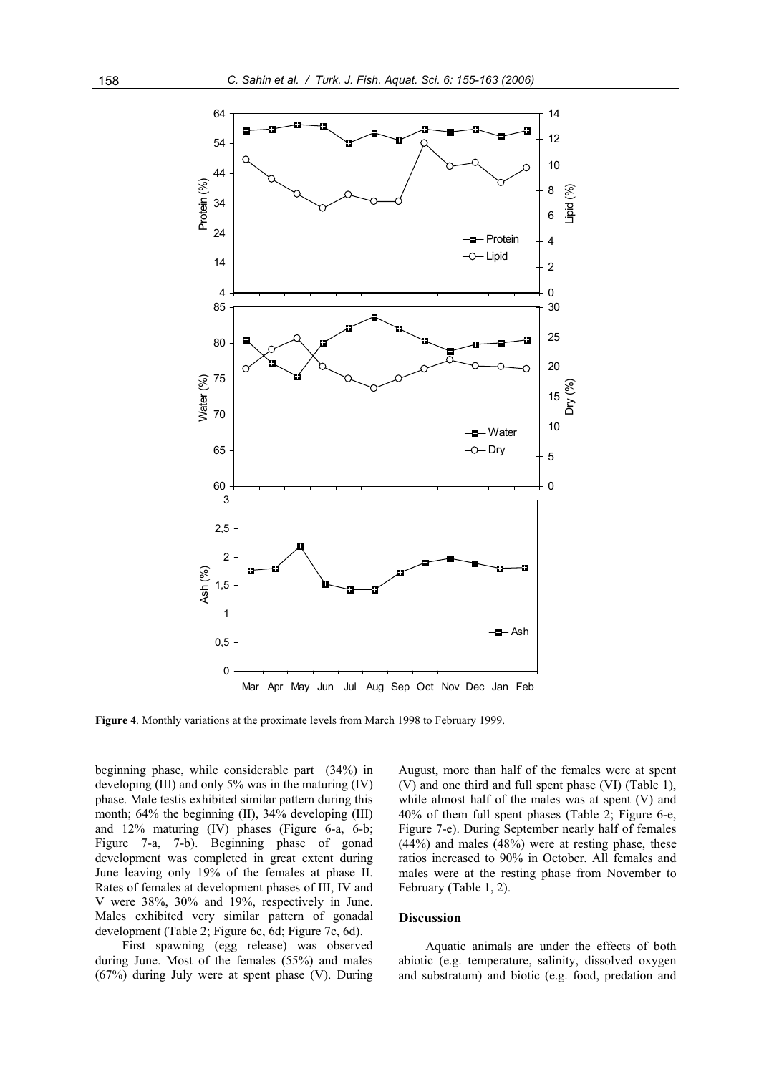

**Figure 4**. Monthly variations at the proximate levels from March 1998 to February 1999.

beginning phase, while considerable part (34%) in developing (III) and only 5% was in the maturing (IV) phase. Male testis exhibited similar pattern during this month; 64% the beginning (II), 34% developing (III) and 12% maturing (IV) phases (Figure 6-a, 6-b; Figure 7-a, 7-b). Beginning phase of gonad development was completed in great extent during June leaving only 19% of the females at phase II. Rates of females at development phases of III, IV and V were 38%, 30% and 19%, respectively in June. Males exhibited very similar pattern of gonadal development (Table 2; Figure 6c, 6d; Figure 7c, 6d).

First spawning (egg release) was observed during June. Most of the females (55%) and males (67%) during July were at spent phase (V). During August, more than half of the females were at spent (V) and one third and full spent phase (VI) (Table 1), while almost half of the males was at spent (V) and 40% of them full spent phases (Table 2; Figure 6-e, Figure 7-e). During September nearly half of females (44%) and males (48%) were at resting phase, these ratios increased to 90% in October. All females and males were at the resting phase from November to February (Table 1, 2).

# **Discussion**

Aquatic animals are under the effects of both abiotic (e.g. temperature, salinity, dissolved oxygen and substratum) and biotic (e.g. food, predation and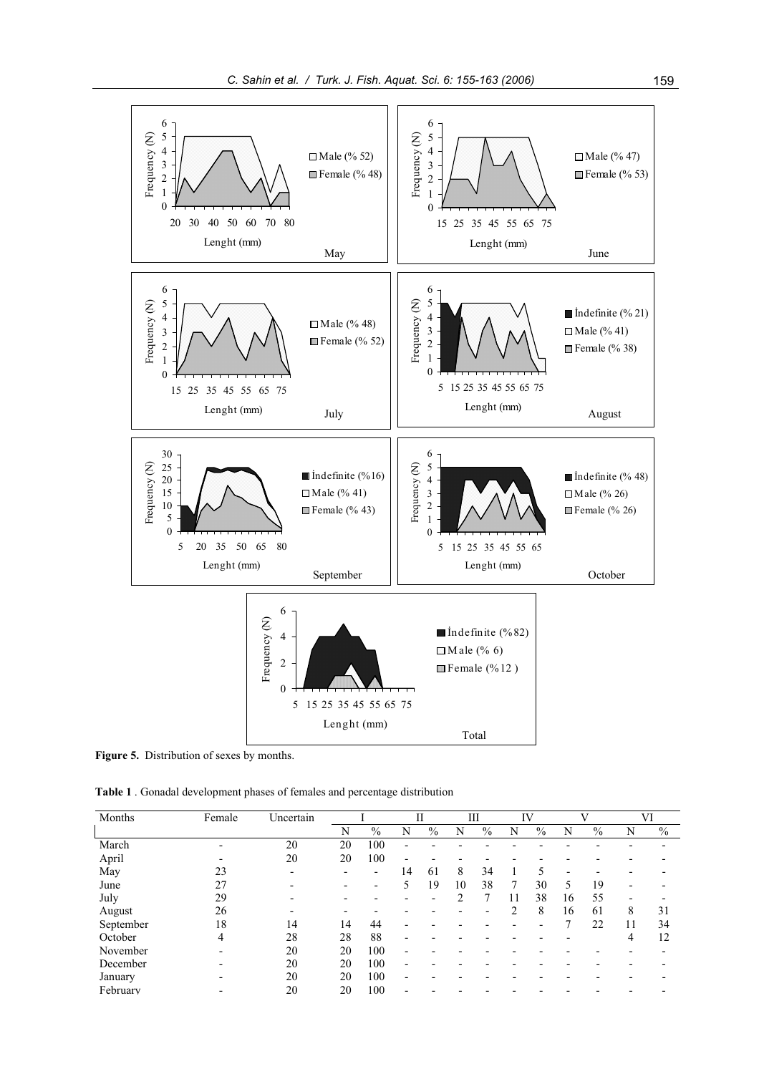

Figure 5. Distribution of sexes by months.

**Table 1** . Gonadal development phases of females and percentage distribution

| Months    | Female | Uncertain |    |                          |    | П    |    | Ш    |                          | IV   |    |      |                          | VI   |
|-----------|--------|-----------|----|--------------------------|----|------|----|------|--------------------------|------|----|------|--------------------------|------|
|           |        |           | N  | $\%$                     | N  | $\%$ | N  | $\%$ | N                        | $\%$ | N  | $\%$ | N                        | $\%$ |
| March     |        | 20        | 20 | 100                      |    |      |    |      |                          |      |    |      |                          |      |
| April     |        | 20        | 20 | 100                      |    |      |    |      |                          |      |    |      |                          |      |
| May       | 23     |           |    | $\overline{\phantom{0}}$ | 14 | 61   | 8  | 34   |                          |      |    |      |                          |      |
| June      | 27     |           |    |                          | 5  | 19   | 10 | 38   |                          | 30   | 5  | 19   | $\overline{\phantom{0}}$ |      |
| July      | 29     |           |    |                          |    |      | ↑  |      | 11                       | 38   | 16 | 55   |                          |      |
| August    | 26     |           |    |                          |    |      |    |      | ↑                        | 8    | 16 | 61   | 8                        | 31   |
| September | 18     | 14        | 14 | 44                       |    |      |    |      | $\overline{\phantom{0}}$ |      | 7  | 22   | 11                       | 34   |
| October   | 4      | 28        | 28 | 88                       |    |      |    |      |                          |      |    |      | 4                        | 12   |
| November  |        | 20        | 20 | 100                      |    |      |    |      |                          |      |    |      |                          |      |
| December  |        | 20        | 20 | 100                      |    |      |    |      |                          |      |    |      |                          |      |
| January   |        | 20        | 20 | 100                      |    |      |    |      |                          |      |    |      |                          |      |
| February  |        | 20        | 20 | 100                      |    |      |    |      |                          |      |    |      |                          |      |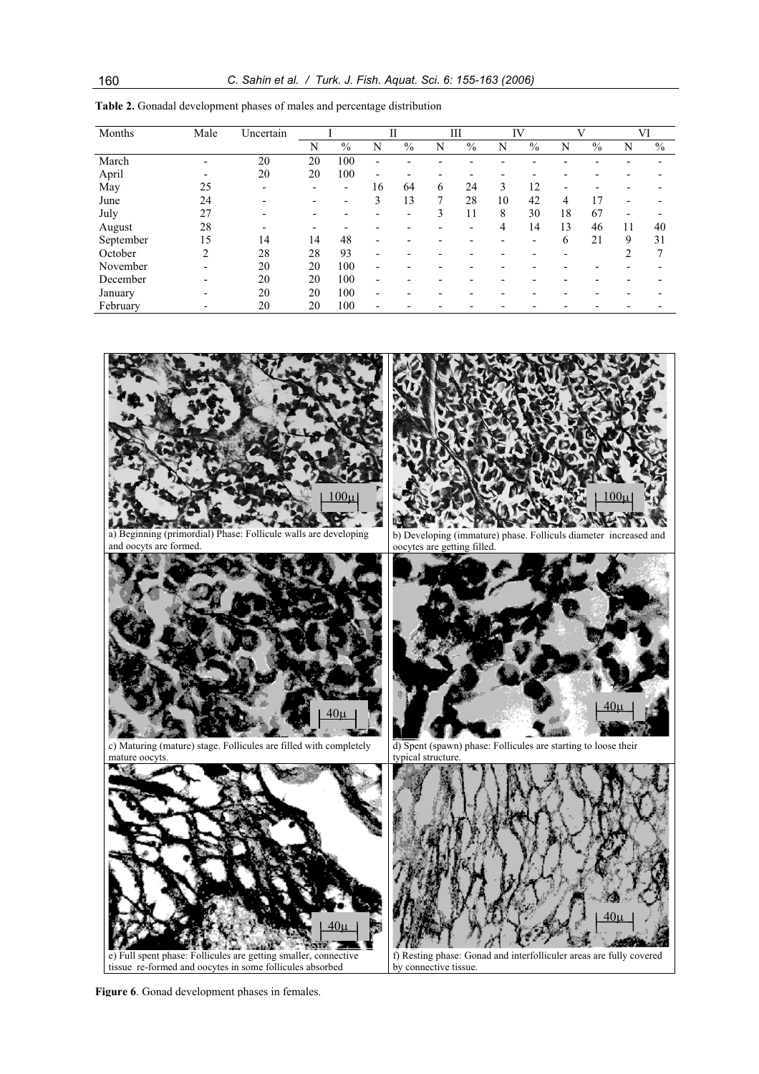| Months    | Male                     | Uncertain                |    |                          | П                        |                          | Ш |                          | IV |      | V  |               |    | VI   |
|-----------|--------------------------|--------------------------|----|--------------------------|--------------------------|--------------------------|---|--------------------------|----|------|----|---------------|----|------|
|           |                          |                          | N  | $\frac{0}{0}$            | N                        | $\frac{0}{0}$            | N | $\frac{0}{0}$            | N  | $\%$ | N  | $\frac{0}{0}$ | N  | $\%$ |
| March     |                          | 20                       | 20 | 100                      |                          |                          |   |                          |    |      |    |               |    |      |
| April     |                          | 20                       | 20 | 100                      | $\overline{\phantom{0}}$ | $\overline{\phantom{0}}$ |   |                          |    |      |    |               |    |      |
| May       | 25                       |                          |    | $\overline{\phantom{0}}$ | 16                       | 64                       | 6 | 24                       | 3  | 12   |    |               |    |      |
| June      | 24                       | $\overline{\phantom{0}}$ | -  |                          | 3                        | 13                       | 7 | 28                       | 10 | 42   | 4  | 17            |    |      |
| July      | 27                       |                          |    |                          |                          | -                        | 3 | 11                       | 8  | 30   | 18 | 67            |    |      |
| August    | 28                       |                          |    |                          |                          |                          |   | $\overline{\phantom{a}}$ | 4  | 14   | 13 | 46            | 11 | 40   |
| September | 15                       | 14                       | 14 | 48                       |                          |                          |   |                          |    | ۰    | 6  | 21            | 9  | 31   |
| October   | 2                        | 28                       | 28 | 93                       |                          |                          |   |                          |    |      |    |               | ◠  |      |
| November  | $\overline{\phantom{0}}$ | 20                       | 20 | 100                      | $\overline{\phantom{0}}$ |                          |   |                          |    |      |    |               |    |      |
| December  |                          | 20                       | 20 | 100                      |                          |                          |   |                          |    |      |    |               |    |      |
| January   |                          | 20                       | 20 | 100                      | $\overline{\phantom{0}}$ |                          |   |                          |    |      |    |               |    |      |
| February  |                          | 20                       | 20 | 100                      |                          |                          |   |                          |    |      |    |               |    |      |

**Table 2.** Gonadal development phases of males and percentage distribution



**Figure 6**. Gonad development phases in females.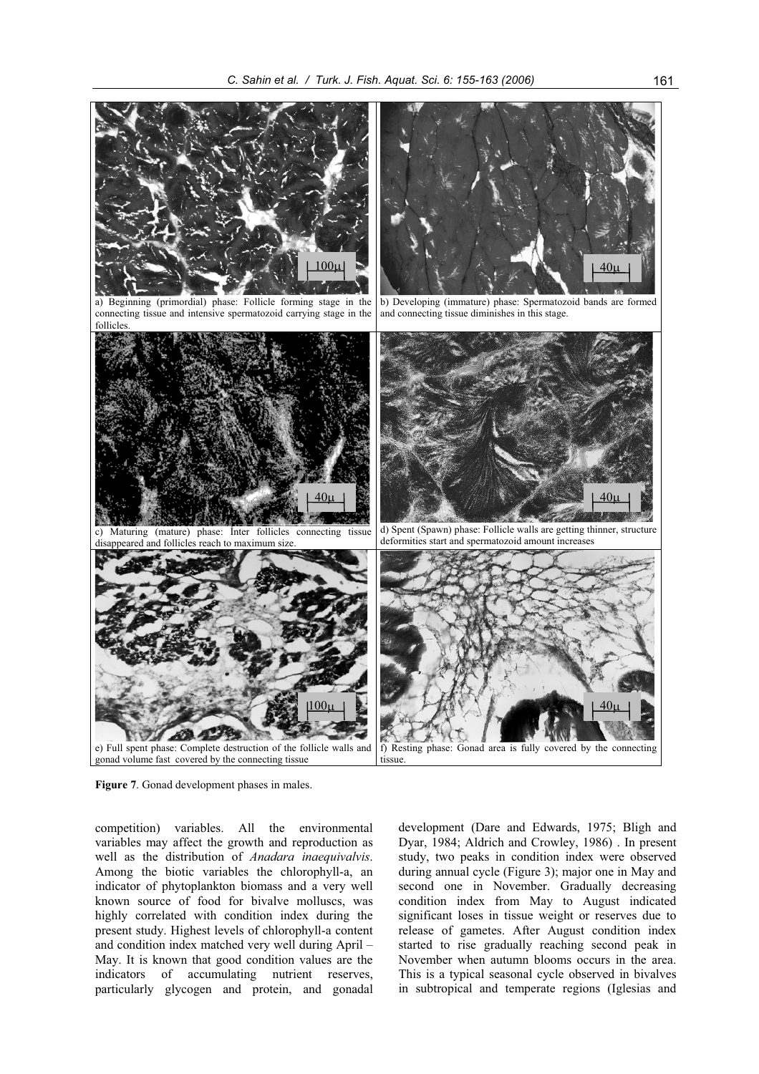

**Figure 7**. Gonad development phases in males.

competition) variables. All the environmental variables may affect the growth and reproduction as well as the distribution of *Anadara inaequivalvis*. Among the biotic variables the chlorophyll-a, an indicator of phytoplankton biomass and a very well known source of food for bivalve molluscs, was highly correlated with condition index during the present study. Highest levels of chlorophyll-a content and condition index matched very well during April – May. It is known that good condition values are the indicators of accumulating nutrient reserves, particularly glycogen and protein, and gonadal

development (Dare and Edwards, 1975; Bligh and Dyar, 1984; Aldrich and Crowley, 1986) . In present study, two peaks in condition index were observed during annual cycle (Figure 3); major one in May and second one in November. Gradually decreasing condition index from May to August indicated significant loses in tissue weight or reserves due to release of gametes. After August condition index started to rise gradually reaching second peak in November when autumn blooms occurs in the area. This is a typical seasonal cycle observed in bivalves in subtropical and temperate regions (Iglesias and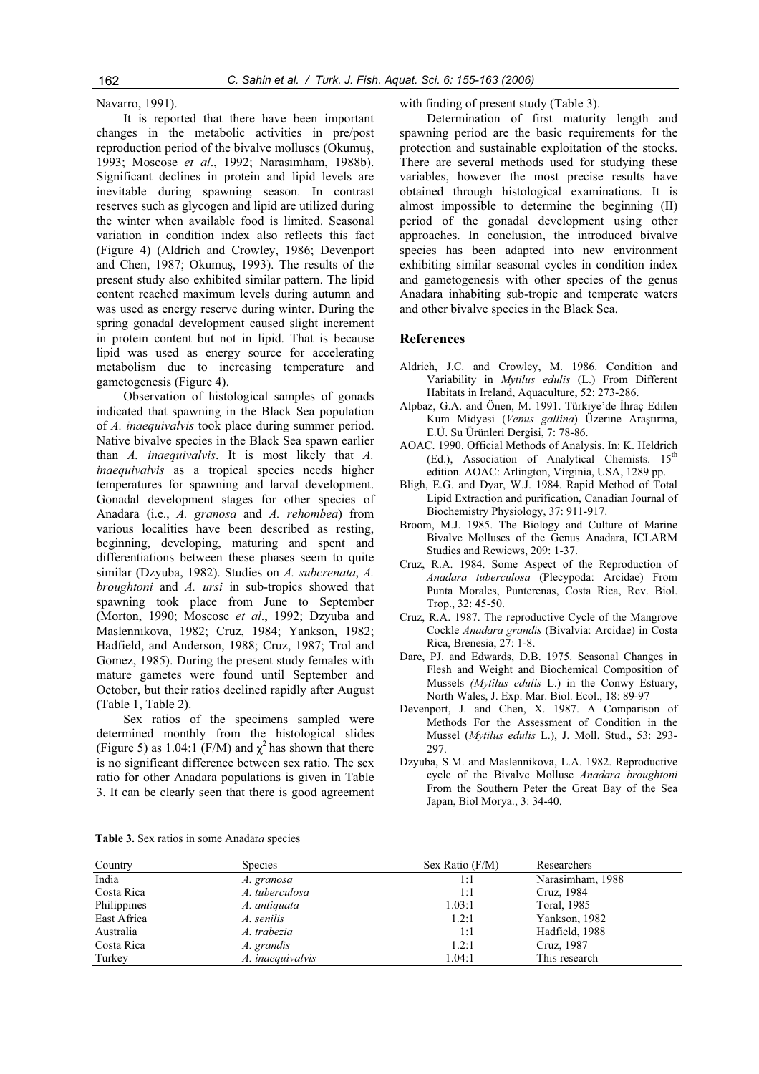Navarro, 1991).

It is reported that there have been important changes in the metabolic activities in pre/post reproduction period of the bivalve molluscs (Okumus, 1993; Moscose *et al*., 1992; Narasimham, 1988b). Significant declines in protein and lipid levels are inevitable during spawning season. In contrast reserves such as glycogen and lipid are utilized during the winter when available food is limited. Seasonal variation in condition index also reflects this fact (Figure 4) (Aldrich and Crowley, 1986; Devenport and Chen, 1987; Okumuş, 1993). The results of the present study also exhibited similar pattern. The lipid content reached maximum levels during autumn and was used as energy reserve during winter. During the spring gonadal development caused slight increment in protein content but not in lipid. That is because lipid was used as energy source for accelerating metabolism due to increasing temperature and gametogenesis (Figure 4).

Observation of histological samples of gonads indicated that spawning in the Black Sea population of *A. inaequivalvis* took place during summer period. Native bivalve species in the Black Sea spawn earlier than *A. inaequivalvis*. It is most likely that *A. inaequivalvis* as a tropical species needs higher temperatures for spawning and larval development. Gonadal development stages for other species of Anadara (i.e., *A. granosa* and *A. rehombea*) from various localities have been described as resting, beginning, developing, maturing and spent and differentiations between these phases seem to quite similar (Dzyuba, 1982). Studies on *A. subcrenata*, *A. broughtoni* and *A. ursi* in sub-tropics showed that spawning took place from June to September (Morton, 1990; Moscose *et al*., 1992; Dzyuba and Maslennikova, 1982; Cruz, 1984; Yankson, 1982; Hadfield, and Anderson, 1988; Cruz, 1987; Trol and Gomez, 1985). During the present study females with mature gametes were found until September and October, but their ratios declined rapidly after August (Table 1, Table 2).

Sex ratios of the specimens sampled were determined monthly from the histological slides (Figure 5) as 1.04:1 (F/M) and  $\chi^2$  has shown that there is no significant difference between sex ratio. The sex ratio for other Anadara populations is given in Table 3. It can be clearly seen that there is good agreement

with finding of present study (Table 3).

Determination of first maturity length and spawning period are the basic requirements for the protection and sustainable exploitation of the stocks. There are several methods used for studying these variables, however the most precise results have obtained through histological examinations. It is almost impossible to determine the beginning (II) period of the gonadal development using other approaches. In conclusion, the introduced bivalve species has been adapted into new environment exhibiting similar seasonal cycles in condition index and gametogenesis with other species of the genus Anadara inhabiting sub-tropic and temperate waters and other bivalve species in the Black Sea.

## **References**

- Aldrich, J.C. and Crowley, M. 1986. Condition and Variability in *Mytilus edulis* (L.) From Different Habitats in Ireland, Aquaculture, 52: 273-286.
- Alpbaz, G.A. and Önen, M. 1991. Türkiye'de İhraç Edilen Kum Midyesi (*Venus gallina*) Üzerine Arastırma, E.Ü. Su Ürünleri Dergisi, 7: 78-86.
- AOAC. 1990. Official Methods of Analysis. In: K. Heldrich (Ed.), Association of Analytical Chemists.  $15<sup>th</sup>$ edition. AOAC: Arlington, Virginia, USA, 1289 pp.
- Bligh, E.G. and Dyar, W.J. 1984. Rapid Method of Total Lipid Extraction and purification, Canadian Journal of Biochemistry Physiology, 37: 911-917.
- Broom, M.J. 1985. The Biology and Culture of Marine Bivalve Molluscs of the Genus Anadara, ICLARM Studies and Rewiews, 209: 1-37.
- Cruz, R.A. 1984. Some Aspect of the Reproduction of *Anadara tuberculosa* (Plecypoda: Arcidae) From Punta Morales, Punterenas, Costa Rica, Rev. Biol. Trop., 32: 45-50.
- Cruz, R.A. 1987. The reproductive Cycle of the Mangrove Cockle *Anadara grandis* (Bivalvia: Arcidae) in Costa Rica, Brenesia, 27: 1-8.
- Dare, PJ. and Edwards, D.B. 1975. Seasonal Changes in Flesh and Weight and Biochemical Composition of Mussels *(Mytilus edulis* L.) in the Conwy Estuary, North Wales, J. Exp. Mar. Biol. Ecol., 18: 89-97
- Devenport, J. and Chen, X. 1987. A Comparison of Methods For the Assessment of Condition in the Mussel (*Mytilus edulis* L.), J. Moll. Stud., 53: 293- 297.
- Dzyuba, S.M. and Maslennikova, L.A. 1982. Reproductive cycle of the Bivalve Mollusc *Anadara broughtoni* From the Southern Peter the Great Bay of the Sea Japan, Biol Morya., 3: 34-40.

|  |  |  | <b>Table 3.</b> Sex ratios in some Anadara species |  |
|--|--|--|----------------------------------------------------|--|
|  |  |  |                                                    |  |
|  |  |  |                                                    |  |

| Country     | <b>Species</b>   | Sex Ratio $(F/M)$ | Researchers      |
|-------------|------------------|-------------------|------------------|
| India       | A. granosa       | 1:1               | Narasimham, 1988 |
| Costa Rica  | A. tuberculosa   | 1:1               | Cruz, 1984       |
| Philippines | A. antiquata     | 1.03:1            | Toral, 1985      |
| East Africa | A. senilis       | 1.2:1             | Yankson, 1982    |
| Australia   | A. trabezia      | 1:1               | Hadfield, 1988   |
| Costa Rica  | A. grandis       | 1.2:1             | Cruz, 1987       |
| Turkey      | A. inaequivalvis | 1.04:1            | This research    |